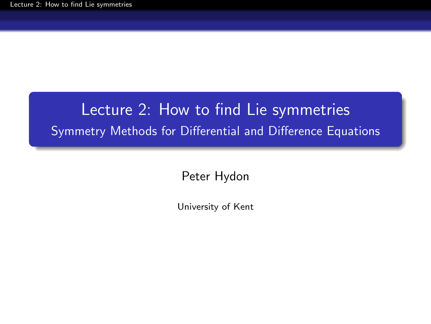# <span id="page-0-0"></span>Lecture 2: How to find Lie symmetries Symmetry Methods for Differential and Difference Equations

Peter Hydon

University of Kent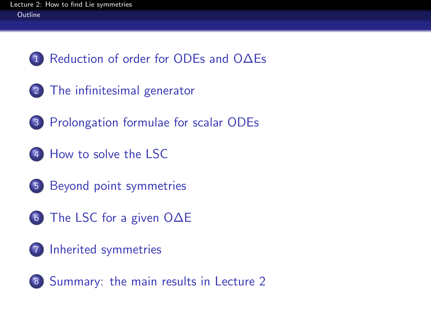- [Reduction of order for ODEs and O∆Es](#page-2-0)
- [The infinitesimal generator](#page-7-0)
- [Prolongation formulae for scalar ODEs](#page-11-0)
- [How to solve the LSC](#page-15-0)
- [Beyond point symmetries](#page-22-0)
- [The LSC for a given O∆E](#page-27-0)
- [Inherited symmetries](#page-38-0)

<span id="page-1-0"></span>[Summary: the main results in Lecture 2](#page-42-0)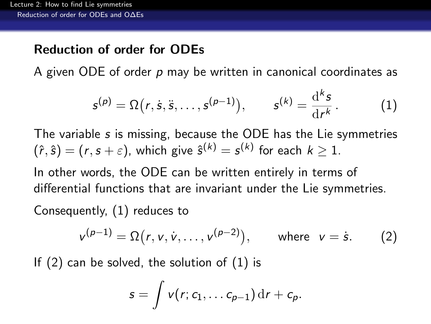### Reduction of order for ODEs

A given ODE of order p may be written in canonical coordinates as

<span id="page-2-1"></span>
$$
s^{(p)} = \Omega(r, \dot{s}, \ddot{s}, \dots, s^{(p-1)}), \qquad s^{(k)} = \frac{d^k s}{dr^k}.
$$
 (1)

The variable s is missing, because the ODE has the Lie symmetries  $(\hat{r}, \hat{s}) = (r, s + \varepsilon)$ , which give  $\hat{s}^{(k)} = s^{(k)}$  for each  $k \geq 1$ .

In other words, the ODE can be written entirely in terms of differential functions that are invariant under the Lie symmetries.

Consequently, [\(1\)](#page-2-1) reduces to

<span id="page-2-2"></span>
$$
v^{(p-1)} = \Omega(r, v, \dot{v}, \dots, v^{(p-2)}), \quad \text{where } v = \dot{s}. \tag{2}
$$

<span id="page-2-0"></span>If [\(2\)](#page-2-2) can be solved, the solution of [\(1\)](#page-2-1) is

$$
s=\int v(r;c_1,\ldots c_{p-1}) dr+c_p.
$$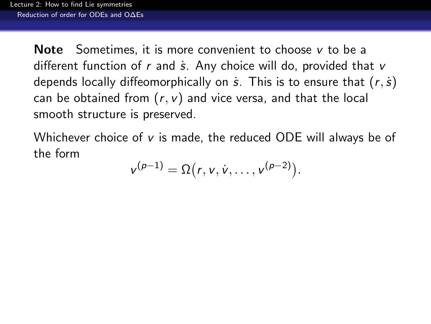**Note** Sometimes, it is more convenient to choose  $v$  to be a different function of  $r$  and  $\dot{s}$ . Any choice will do, provided that  $v$ depends locally diffeomorphically on  $\dot{s}$ . This is to ensure that  $(r, \dot{s})$ can be obtained from  $(r, v)$  and vice versa, and that the local smooth structure is preserved.

<span id="page-3-0"></span>Whichever choice of  $v$  is made, the reduced ODE will always be of the form

$$
v^{(p-1)} = \Omega(r, v, \dot{v}, \dots, v^{(p-2)}).
$$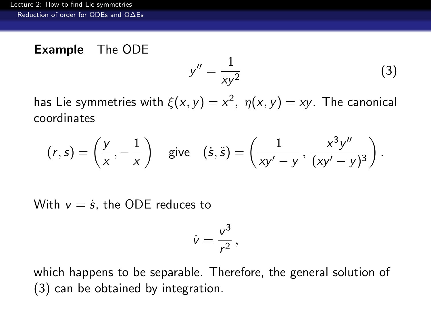### Example The ODE

<span id="page-4-1"></span>
$$
y'' = \frac{1}{xy^2} \tag{3}
$$

has Lie symmetries with  $\xi(x,y)=x^2, \; \eta(x,y)=xy.$  The canonical coordinates

$$
(r,s)=\left(\frac{y}{x},-\frac{1}{x}\right) \quad \text{give} \quad (\dot{s},\ddot{s})=\left(\frac{1}{xy'-y},\,\frac{x^3y''}{(xy'-y)^3}\right).
$$

With  $v = \dot{s}$ , the ODE reduces to

$$
\dot{v}=\frac{v^3}{r^2}\,,
$$

<span id="page-4-0"></span>which happens to be separable. Therefore, the general solution of [\(3\)](#page-4-1) can be obtained by integration.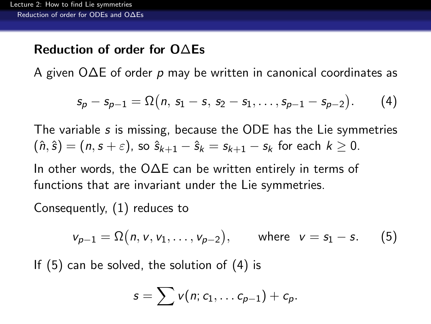#### Reduction of order for O∆Es

A given O∆E of order p may be written in canonical coordinates as

<span id="page-5-2"></span>
$$
s_p - s_{p-1} = \Omega(n, s_1 - s, s_2 - s_1, \ldots, s_{p-1} - s_{p-2}).
$$
 (4)

The variable s is missing, because the ODE has the Lie symmetries  $(\hat{n}, \hat{s}) = (n, s + \varepsilon)$ , so  $\hat{s}_{k+1} - \hat{s}_k = s_{k+1} - s_k$  for each  $k \geq 0$ .

In other words, the O∆E can be written entirely in terms of functions that are invariant under the Lie symmetries.

Consequently, [\(1\)](#page-2-1) reduces to

<span id="page-5-1"></span>
$$
v_{p-1} = \Omega(n, v, v_1, \dots, v_{p-2}),
$$
 where  $v = s_1 - s.$  (5)

<span id="page-5-0"></span>If [\(5\)](#page-5-1) can be solved, the solution of [\(4\)](#page-5-2) is

$$
s=\sum v(n;c_1,\ldots c_{p-1})+c_p.
$$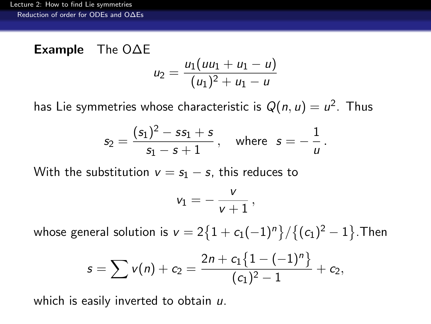#### Example The O∆E  $U_2$  $u_1(uu_1 + u_1 - u)$

$$
e_2 = \frac{u_1}{(u_1)^2 + u_1 - u_2}
$$

has Lie symmetries whose characteristic is  $Q(n,u)=u^2.$  Thus

$$
s_2 = \frac{(s_1)^2 - ss_1 + s}{s_1 - s + 1}, \quad \text{where} \quad s = -\frac{1}{u}.
$$

With the substitution  $v = s_1 - s$ , this reduces to

$$
v_1=-\,\frac{v}{v+1}\,,
$$

whose general solution is  $\text{v}=2\big\{1+c_1(-1)^n\big\}/\big\{(\textit{c}_1)^2-1\big\}.$  Then

$$
s = \sum v(n) + c_2 = \frac{2n + c_1\{1 - (-1)^n\}}{(c_1)^2 - 1} + c_2,
$$

<span id="page-6-0"></span>which is easily inverted to obtain u.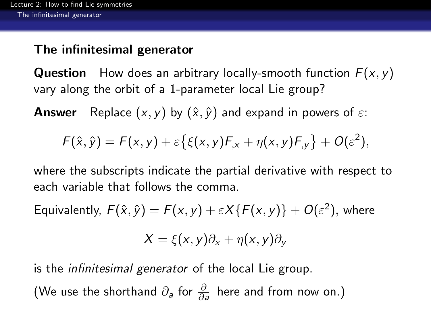# The infinitesimal generator

**Question** How does an arbitrary locally-smooth function  $F(x, y)$ vary along the orbit of a 1-parameter local Lie group?

**Answer** Replace  $(x, y)$  by  $(\hat{x}, \hat{y})$  and expand in powers of  $\varepsilon$ :

$$
F(\hat{x},\hat{y})=F(x,y)+\varepsilon\big\{\xi(x,y)F_{,x}+\eta(x,y)F_{,y}\big\}+O(\varepsilon^2),
$$

where the subscripts indicate the partial derivative with respect to each variable that follows the comma.

Equivalently,  $F(\hat{x}, \hat{y}) = F(x, y) + \varepsilon X \{F(x, y)\} + O(\varepsilon^2)$ , where

$$
X = \xi(x, y)\partial_x + \eta(x, y)\partial_y
$$

is the infinitesimal generator of the local Lie group.

<span id="page-7-0"></span>(We use the shorthand  $\partial_{\bm{a}}$  for  $\frac{\partial}{\partial \bm{a}}$  here and from now on.)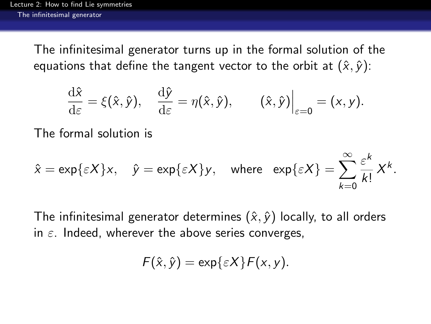The infinitesimal generator turns up in the formal solution of the equations that define the tangent vector to the orbit at  $(\hat{x}, \hat{y})$ :

$$
\frac{\mathrm{d}\hat{x}}{\mathrm{d}\varepsilon} = \xi(\hat{x},\hat{y}), \quad \frac{\mathrm{d}\hat{y}}{\mathrm{d}\varepsilon} = \eta(\hat{x},\hat{y}), \qquad (\hat{x},\hat{y})\Big|_{\varepsilon=0} = (x,y).
$$

The formal solution is

$$
\hat{x} = \exp\{\varepsilon X\}x, \quad \hat{y} = \exp\{\varepsilon X\}y, \quad \text{where} \quad \exp\{\varepsilon X\} = \sum_{k=0}^{\infty} \frac{\varepsilon^k}{k!} X^k.
$$

<span id="page-8-0"></span>The infinitesimal generator determines  $(\hat{x}, \hat{y})$  locally, to all orders in  $\varepsilon$ . Indeed, wherever the above series converges,

$$
F(\hat{x},\hat{y})=\exp\{\varepsilon X\}F(x,y).
$$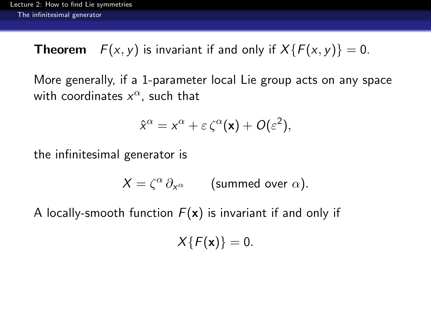**Theorem**  $F(x, y)$  is invariant if and only if  $X\{F(x, y)\} = 0$ .

More generally, if a 1-parameter local Lie group acts on any space with coordinates  $x^{\alpha}$ , such that

$$
\hat{x}^{\alpha} = x^{\alpha} + \varepsilon \zeta^{\alpha}(\mathbf{x}) + O(\varepsilon^2),
$$

the infinitesimal generator is

$$
X = \zeta^{\alpha} \partial_{x^{\alpha}} \qquad \text{(summed over } \alpha\text{)}.
$$

<span id="page-9-0"></span>A locally-smooth function  $F(x)$  is invariant if and only if

 $X\{F(x)\}=0.$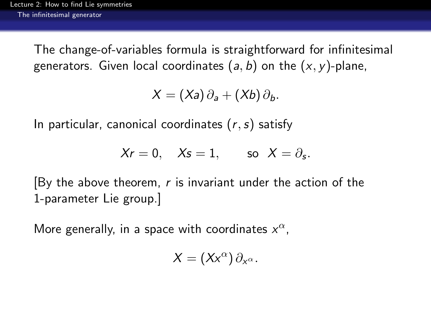The change-of-variables formula is straightforward for infinitesimal generators. Given local coordinates  $(a, b)$  on the  $(x, y)$ -plane,

$$
X=(Xa)\,\partial_a+(Xb)\,\partial_b.
$$

In particular, canonical coordinates  $(r, s)$  satisfy

$$
Xr=0, \quad Xs=1, \quad \quad \text{so} \ \ X=\partial_s.
$$

[By the above theorem, r is invariant under the action of the 1-parameter Lie group.]

<span id="page-10-0"></span>More generally, in a space with coordinates  $x^{\alpha}$ ,

$$
X=(Xx^{\alpha})\,\partial_{x^{\alpha}}.
$$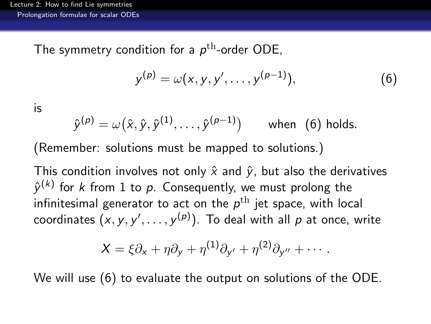The symmetry condition for a  $p^{\rm th}$ -order ODE,

<span id="page-11-1"></span>
$$
y^{(p)} = \omega(x, y, y', \dots, y^{(p-1)}), \tag{6}
$$

#### is

$$
\hat{y}^{(p)} = \omega\big(\hat{x},\hat{y},\hat{y}^{(1)},\dots,\hat{y}^{(p-1)}\big) \qquad \text{when} \ \ (6) \ \text{holds}.
$$

(Remember: solutions must be mapped to solutions.)

This condition involves not only  $\hat{x}$  and  $\hat{y}$ , but also the derivatives  $\hat{\mathbf{y}}^{(k)}$  for  $k$  from  $1$  to  $p$ . Consequently, we must prolong the infinitesimal generator to act on the  $\rho^{\text{th}}$  jet space, with local coordinates  $(x,y,y',\dots,y^{(\rho)}).$  To deal with all  $\rho$  at once, write

$$
X = \xi \partial_x + \eta \partial_y + \eta^{(1)} \partial_{y'} + \eta^{(2)} \partial_{y''} + \cdots.
$$

<span id="page-11-0"></span>We will use [\(6\)](#page-11-1) to evaluate the output on solutions of the ODE.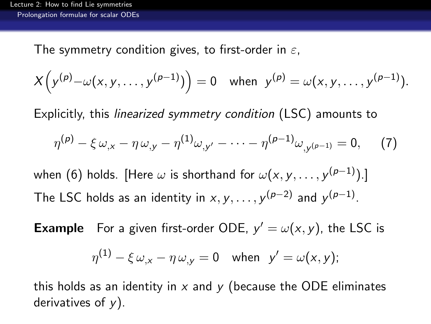The symmetry condition gives, to first-order in  $\varepsilon$ ,

$$
X(y^{(p)} - \omega(x, y, \ldots, y^{(p-1)})) = 0 \text{ when } y^{(p)} = \omega(x, y, \ldots, y^{(p-1)}).
$$

Explicitly, this linearized symmetry condition (LSC) amounts to

$$
\eta^{(p)} - \xi \omega_{,x} - \eta \omega_{,y} - \eta^{(1)} \omega_{,y'} - \cdots - \eta^{(p-1)} \omega_{,y^{(p-1)}} = 0, \quad (7)
$$

when [\(6\)](#page-11-1) holds. [Here  $\omega$  is shorthand for  $\omega(x,y,\ldots,y^{(p-1)}).$ ] The LSC holds as an identity in  $x, y, \ldots, y^{(p-2)}$  and  $y^{(p-1)}$ .

**Example** For a given first-order ODE,  $y' = \omega(x, y)$ , the LSC is

$$
\eta^{(1)} - \xi \omega_{,x} - \eta \omega_{,y} = 0 \quad \text{when} \quad y' = \omega(x, y);
$$

<span id="page-12-0"></span>this holds as an identity in  $x$  and  $y$  (because the ODE eliminates derivatives of  $y$ ).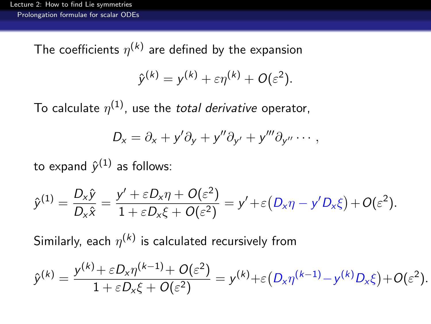The coefficients  $\eta^{(k)}$  are defined by the expansion

$$
\hat{y}^{(k)} = y^{(k)} + \varepsilon \eta^{(k)} + O(\varepsilon^2).
$$

To calculate  $\eta^{(1)}$ , use the *total derivative* operator,

$$
D_x = \partial_x + y' \partial_y + y'' \partial_{y'} + y''' \partial_{y''} \cdots,
$$

to expand  $\hat{y}^{(1)}$  as follows:

$$
\hat{y}^{(1)} = \frac{D_x \hat{y}}{D_x \hat{x}} = \frac{y' + \varepsilon D_x \eta + O(\varepsilon^2)}{1 + \varepsilon D_x \xi + O(\varepsilon^2)} = y' + \varepsilon (D_x \eta - y' D_x \xi) + O(\varepsilon^2).
$$

Similarly, each  $\eta^{(k)}$  is calculated recursively from

<span id="page-13-0"></span>
$$
\hat{y}^{(k)} = \frac{y^{(k)} + \varepsilon D_x \eta^{(k-1)} + O(\varepsilon^2)}{1 + \varepsilon D_x \xi + O(\varepsilon^2)} = y^{(k)} + \varepsilon (D_x \eta^{(k-1)} - y^{(k)} D_x \xi) + O(\varepsilon^2).
$$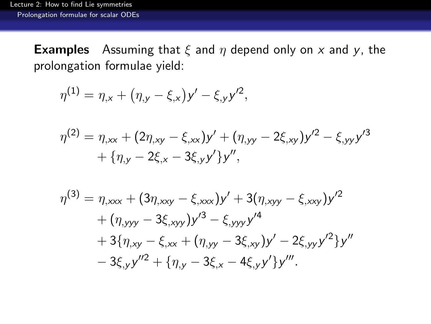**Examples** Assuming that  $\xi$  and  $\eta$  depend only on x and y, the prolongation formulae yield:

$$
\eta^{(1)} = \eta_{,x} + (\eta_{,y} - \xi_{,x})y' - \xi_{,y}y'^2,
$$
  
\n
$$
\eta^{(2)} = \eta_{,xx} + (2\eta_{,xy} - \xi_{,xx})y' + (\eta_{,yy} - 2\xi_{,xy})y'^2 - \xi_{,yy}y'^3
$$
  
\n
$$
+ {\eta_{,y} - 2\xi_{,x} - 3\xi_{,y}y'}y'',
$$

<span id="page-14-0"></span>
$$
\eta^{(3)} = \eta_{,xxx} + (3\eta_{,xxy} - \xi_{,xxx})y' + 3(\eta_{,xyy} - \xi_{,xxy})y'^2 + (\eta_{,yyy} - 3\xi_{,xyy})y'^3 - \xi_{,yyy}y'^4 + 3{\eta_{,xy} - \xi_{,xx} + (\eta_{,yy} - 3\xi_{,xy})y' - 2\xi_{,yy}y'^2}y'' - 3\xi_{,y}y''^2 + {\eta_{,y} - 3\xi_{,x} - 4\xi_{,y}y'}y'''.
$$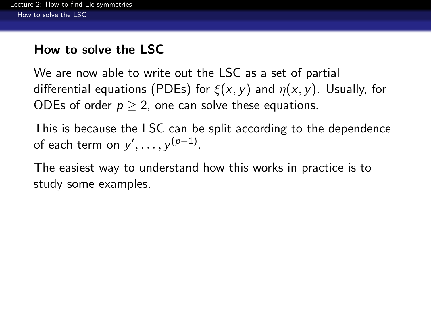# How to solve the LSC

We are now able to write out the LSC as a set of partial differential equations (PDEs) for  $\xi(x, y)$  and  $\eta(x, y)$ . Usually, for ODEs of order  $p > 2$ , one can solve these equations.

This is because the LSC can be split according to the dependence of each term on  $y', \ldots, y^{(p-1)}$ .

<span id="page-15-0"></span>The easiest way to understand how this works in practice is to study some examples.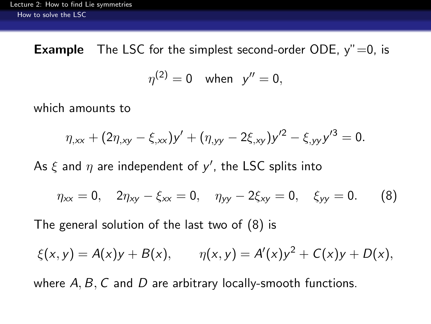**Example** The LSC for the simplest second-order ODE,  $y'' = 0$ , is

$$
\eta^{(2)}=0 \quad \text{when} \quad y''=0,
$$

which amounts to

$$
\eta_{,xx} + (2\eta_{,xy} - \xi_{,xx})y' + (\eta_{,yy} - 2\xi_{,xy})y'^2 - \xi_{,yy}y'^3 = 0.
$$

As  $\xi$  and  $\eta$  are independent of  $y'$ , the LSC splits into

<span id="page-16-1"></span>
$$
\eta_{xx} = 0, \quad 2\eta_{xy} - \xi_{xx} = 0, \quad \eta_{yy} - 2\xi_{xy} = 0, \quad \xi_{yy} = 0. \tag{8}
$$

The general solution of the last two of [\(8\)](#page-16-1) is

$$
\xi(x, y) = A(x)y + B(x),
$$
  $\eta(x, y) = A'(x)y^2 + C(x)y + D(x),$ 

<span id="page-16-0"></span>where  $A, B, C$  and  $D$  are arbitrary locally-smooth functions.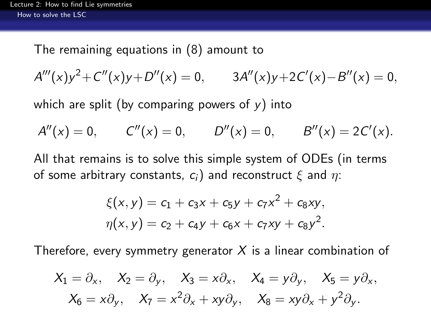The remaining equations in [\(8\)](#page-16-1) amount to

 $A'''(x)y^2 + C''(x)y + D''(x) = 0,$  3A''(x)y+2C'(x)-B''(x) = 0,

which are split (by comparing powers of  $v$ ) into

$$
A''(x) = 0
$$
,  $C''(x) = 0$ ,  $D''(x) = 0$ ,  $B''(x) = 2C'(x)$ .

All that remains is to solve this simple system of ODEs (in terms of some arbitrary constants,  $c_i$ ) and reconstruct  $\xi$  and  $\eta$ :

$$
\xi(x, y) = c_1 + c_3x + c_5y + c_7x^2 + c_8xy,
$$
  

$$
\eta(x, y) = c_2 + c_4y + c_6x + c_7xy + c_8y^2.
$$

Therefore, every symmetry generator  $X$  is a linear combination of

<span id="page-17-0"></span>
$$
X_1 = \partial_x, \quad X_2 = \partial_y, \quad X_3 = x\partial_x, \quad X_4 = y\partial_y, \quad X_5 = y\partial_x, X_6 = x\partial_y, \quad X_7 = x^2\partial_x + xy\partial_y, \quad X_8 = xy\partial_x + y^2\partial_y.
$$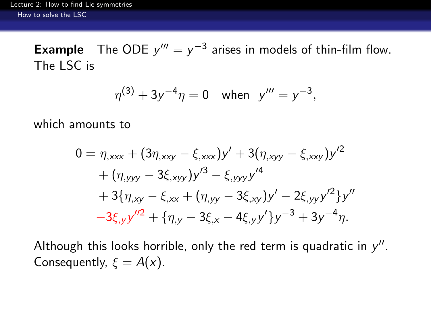**Example** The ODE  $y''' = y^{-3}$  arises in models of thin-film flow. The LSC is

$$
\eta^{(3)} + 3y^{-4}\eta = 0 \quad \text{when} \quad y''' = y^{-3},
$$

which amounts to

$$
0 = \eta_{,xxx} + (3\eta_{,xxy} - \xi_{,xxx})y' + 3(\eta_{,xyy} - \xi_{,xxy})y'^2 + (\eta_{,yyy} - 3\xi_{,xyy})y'^3 - \xi_{,yyy}y'^4 + 3{\eta_{,xy} - \xi_{,xx} + (\eta_{,yy} - 3\xi_{,xy})y' - 2\xi_{,yy}y'^2}y'' - 3\xi_{,y}y''^2 + {\eta_{,y} - 3\xi_{,x} - 4\xi_{,y}y'}y^{-3} + 3y^{-4}\eta.
$$

<span id="page-18-0"></span>Although this looks horrible, only the red term is quadratic in  $y''$ . Consequently,  $\xi = A(x)$ .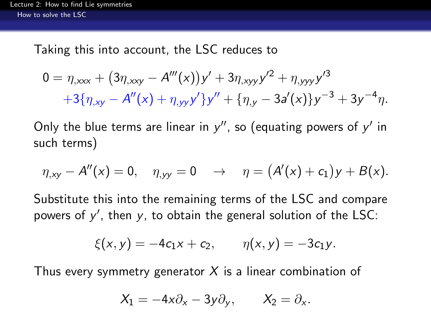Taking this into account, the LSC reduces to

$$
0 = \eta_{,xxx} + (3\eta_{,xy} - A'''(x))y' + 3\eta_{,xyy}y'^2 + \eta_{,yyy}y'^3
$$
  
+3{\eta\_{,xy} - A''(x) + \eta\_{,yy}y'}y'' + {\eta\_{,y} - 3a'(x)}y^{-3} + 3y^{-4}\eta.

Only the blue terms are linear in  $y''$ , so (equating powers of  $y'$  in such terms)

$$
\eta_{,xy} - A''(x) = 0
$$
,  $\eta_{,yy} = 0$   $\rightarrow$   $\eta = (A'(x) + c_1)y + B(x)$ .

Substitute this into the remaining terms of the LSC and compare powers of  $y'$ , then  $y$ , to obtain the general solution of the LSC:

$$
\xi(x,y) = -4c_1x + c_2, \qquad \eta(x,y) = -3c_1y.
$$

<span id="page-19-0"></span>Thus every symmetry generator  $X$  is a linear combination of

$$
X_1 = -4x\partial_x - 3y\partial_y, \qquad X_2 = \partial_x.
$$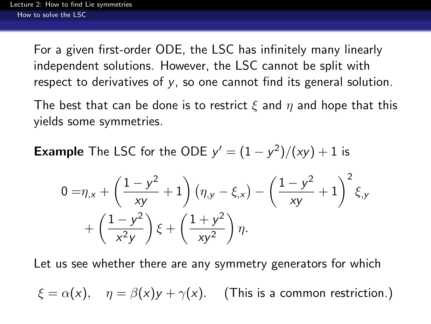For a given first-order ODE, the LSC has infinitely many linearly independent solutions. However, the LSC cannot be split with respect to derivatives of y, so one cannot find its general solution.

The best that can be done is to restrict  $\xi$  and  $\eta$  and hope that this yields some symmetries.

**Example** The LSC for the ODE  $y' = (1 - y^2)/(xy) + 1$  is

$$
0 = \eta_{,x} + \left(\frac{1 - y^2}{xy} + 1\right) \left(\eta_{,y} - \xi_{,x}\right) - \left(\frac{1 - y^2}{xy} + 1\right)^2 \xi_{,y} + \left(\frac{1 - y^2}{x^2 y}\right) \xi + \left(\frac{1 + y^2}{xy^2}\right) \eta.
$$

Let us see whether there are any symmetry generators for which

<span id="page-20-0"></span>
$$
\xi = \alpha(x), \quad \eta = \beta(x)y + \gamma(x).
$$
 (This is a common restriction.)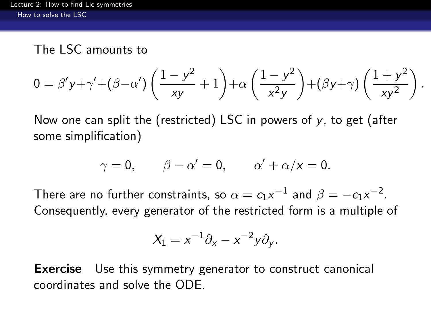#### The LSC amounts to

$$
0 = \beta' y + \gamma' + (\beta - \alpha') \left( \frac{1 - y^2}{xy} + 1 \right) + \alpha \left( \frac{1 - y^2}{x^2 y} \right) + (\beta y + \gamma) \left( \frac{1 + y^2}{xy^2} \right)
$$

.

Now one can split the (restricted) LSC in powers of  $y$ , to get (after some simplification)

$$
\gamma = 0, \qquad \beta - \alpha' = 0, \qquad \alpha' + \alpha/x = 0.
$$

There are no further constraints, so  $\alpha = c_1x^{-1}$  and  $\beta = -c_1x^{-2}.$ Consequently, every generator of the restricted form is a multiple of

$$
X_1 = x^{-1}\partial_x - x^{-2}y\partial_y.
$$

<span id="page-21-0"></span>**Exercise** Use this symmetry generator to construct canonical coordinates and solve the ODE.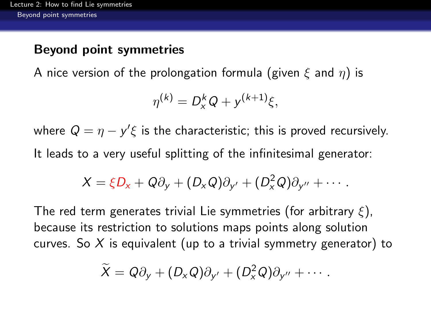#### Beyond point symmetries

A nice version of the prolongation formula (given  $\xi$  and  $\eta$ ) is

$$
\eta^{(k)} = D_x^k Q + y^{(k+1)} \xi,
$$

where  $Q = \eta - y'\xi$  is the characteristic; this is proved recursively. It leads to a very useful splitting of the infinitesimal generator:

$$
X=\xi D_x+Q\partial_y+(D_xQ)\partial_{y'}+(D_x^2Q)\partial_{y''}+\cdots.
$$

<span id="page-22-0"></span>The red term generates trivial Lie symmetries (for arbitrary  $\xi$ ), because its restriction to solutions maps points along solution curves. So X is equivalent (up to a trivial symmetry generator) to

$$
\widetilde{X}=Q\partial_y+(D_xQ)\partial_{y'}+(D_x^2Q)\partial_{y''}+\cdots.
$$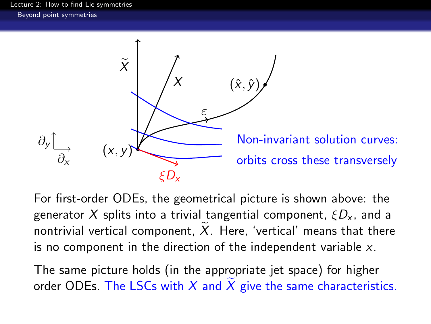[Lecture 2: How to find Lie symmetries](#page-0-0) [Beyond point symmetries](#page-23-0)



For first-order ODEs, the geometrical picture is shown above: the generator X splits into a trivial tangential component,  $\zeta D_{x}$ , and a nontrivial vertical component,  $\overline{X}$ . Here, 'vertical' means that there is no component in the direction of the independent variable x.

<span id="page-23-0"></span>The same picture holds (in the appropriate jet space) for higher order ODEs. The LSCs with  $X$  and  $X$  give the same characteristics.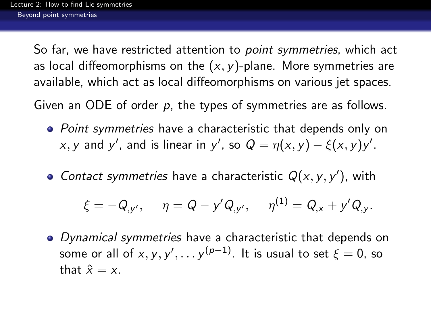So far, we have restricted attention to *point symmetries*, which act as local diffeomorphisms on the  $(x, y)$ -plane. More symmetries are available, which act as local diffeomorphisms on various jet spaces.

Given an ODE of order p, the types of symmetries are as follows.

- Point symmetries have a characteristic that depends only on x, y and y', and is linear in y', so  $Q = \eta(x, y) - \xi(x, y)y'$ .
- Contact symmetries have a characteristic  $Q(x, y, y')$ , with

$$
\xi = -Q_{,y'}, \quad \eta = Q - y'Q_{,y'}, \quad \eta^{(1)} = Q_{,x} + y'Q_{,y}.
$$

<span id="page-24-0"></span>• Dynamical symmetries have a characteristic that depends on some or all of  $x,y,y',\ldots$   $y^{(p-1)}.$  It is usual to set  $\xi=0,$  so that  $\hat{x} = x$ .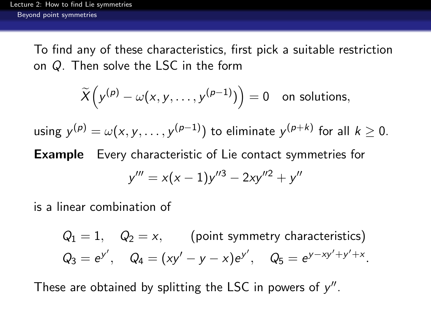To find any of these characteristics, first pick a suitable restriction on Q. Then solve the LSC in the form

$$
\widetilde{X}\Big(y^{(p)}-\omega(x,y,\ldots,y^{(p-1)})\Big)=0\quad\text{on solutions},
$$

using  $y^{(\rho)} = \omega(x,y,\ldots,y^{(\rho-1)})$  to eliminate  $y^{(\rho+k)}$  for all  $k\geq 0$ .

Example Every characteristic of Lie contact symmetries for

$$
y''' = x(x-1)y''^3 - 2xy''^2 + y''
$$

is a linear combination of

 $Q_1 = 1$ ,  $Q_2 = x$ , (point symmetry characteristics)  $Q_3 = e^{y'}, \quad Q_4 = (xy' - y - x)e^{y'}, \quad Q_5 = e^{y - xy' + y' + x}.$ 

<span id="page-25-0"></span>These are obtained by splitting the LSC in powers of  $y''$ .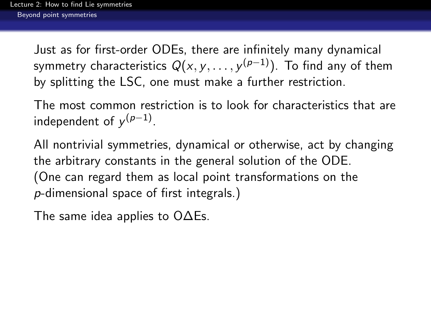Just as for first-order ODEs, there are infinitely many dynamical symmetry characteristics  $\mathsf{Q}(\mathsf{x},\mathsf{y},\dots;\mathsf{y}^{(\rho-1)}).$  To find any of them by splitting the LSC, one must make a further restriction.

The most common restriction is to look for characteristics that are independent of  $y^{(p-1)}$ .

All nontrivial symmetries, dynamical or otherwise, act by changing the arbitrary constants in the general solution of the ODE. (One can regard them as local point transformations on the p-dimensional space of first integrals.)

<span id="page-26-0"></span>The same idea applies to O∆Es.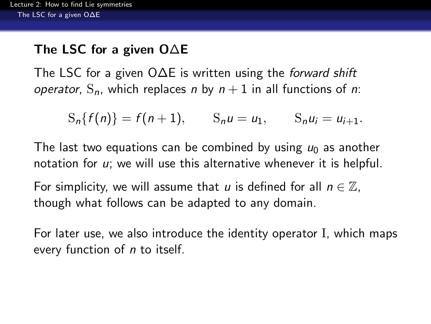# The LSC for a given O∆E

The LSC for a given O∆E is written using the *forward shift* operator,  $S_n$ , which replaces n by  $n + 1$  in all functions of n:

$$
S_n\{f(n)\}=f(n+1),
$$
  $S_nu=u_1,$   $S_nu_i=u_{i+1}.$ 

The last two equations can be combined by using  $u_0$  as another notation for  $u$ ; we will use this alternative whenever it is helpful.

For simplicity, we will assume that u is defined for all  $n \in \mathbb{Z}$ , though what follows can be adapted to any domain.

<span id="page-27-0"></span>For later use, we also introduce the identity operator I, which maps every function of *n* to itself.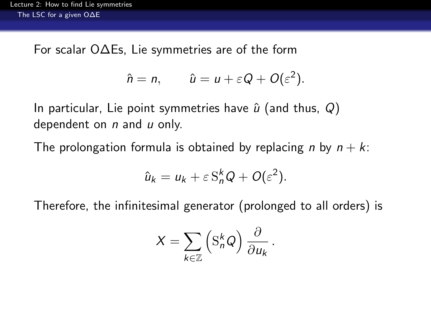For scalar O∆Es, Lie symmetries are of the form

$$
\hat{n} = n, \qquad \hat{u} = u + \varepsilon Q + O(\varepsilon^2).
$$

In particular, Lie point symmetries have  $\hat{u}$  (and thus, Q) dependent on  $n$  and  $u$  only.

The prolongation formula is obtained by replacing n by  $n + k$ .

$$
\hat{u}_k = u_k + \varepsilon S_n^k Q + O(\varepsilon^2).
$$

<span id="page-28-0"></span>Therefore, the infinitesimal generator (prolonged to all orders) is

$$
X = \sum_{k \in \mathbb{Z}} \left( \mathbf{S}_n^k Q \right) \frac{\partial}{\partial u_k}
$$

.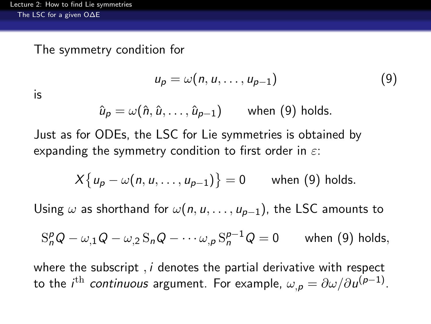#### The symmetry condition for

<span id="page-29-1"></span>
$$
u_p = \omega(n, u, \dots, u_{p-1}) \tag{9}
$$

is

$$
\hat{u}_p = \omega(\hat{n}, \hat{u}, \dots, \hat{u}_{p-1}) \quad \text{when (9) holds.}
$$

Just as for ODEs, the LSC for Lie symmetries is obtained by expanding the symmetry condition to first order in  $\varepsilon$ :

$$
X\{u_p-\omega(n,u,\ldots,u_{p-1})\}=0
$$
 when (9) holds.

Using  $\omega$  as shorthand for  $\omega(n, u, \ldots, u_{p-1})$ , the LSC amounts to

$$
S_n^p Q - \omega_{,1} Q - \omega_{,2} S_n Q - \cdots \omega_{,p} S_n^{p-1} Q = 0 \quad \text{when (9) holds,}
$$

<span id="page-29-0"></span>where the subscript,  $i$  denotes the partial derivative with respect to the  $i^{\text{th}}$  *continuous* argument. For example,  $\omega_{,\bm p} = \partial \omega / \partial \, u^{(\bm p-1)}.$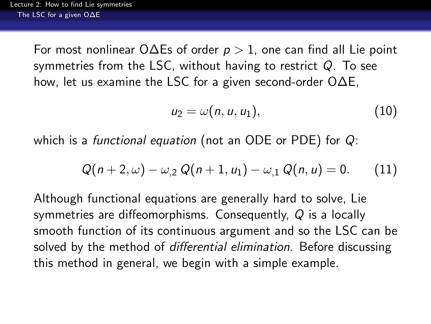For most nonlinear O $\Delta$ Es of order  $p > 1$ , one can find all Lie point symmetries from the LSC, without having to restrict Q. To see how, let us examine the LSC for a given second-order O∆E,

$$
u_2=\omega(n,u,u_1),\qquad \qquad (10)
$$

which is a *functional equation* (not an ODE or PDE) for  $Q$ :

$$
Q(n+2,\omega)-\omega_{,2} Q(n+1,u_1)-\omega_{,1} Q(n,u)=0. \qquad (11)
$$

<span id="page-30-0"></span>Although functional equations are generally hard to solve, Lie symmetries are diffeomorphisms. Consequently, Q is a locally smooth function of its continuous argument and so the LSC can be solved by the method of *differential elimination*. Before discussing this method in general, we begin with a simple example.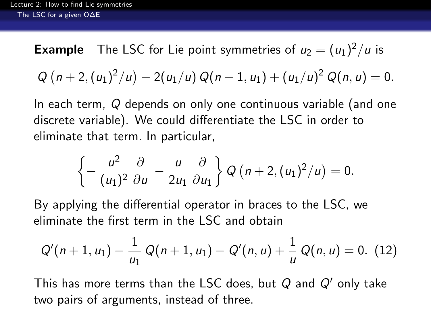**Example** The LSC for Lie point symmetries of  $u_2 = (u_1)^2/u$  is  $Q(n+2,(u_1)^2/u) - 2(u_1/u) Q(n+1,u_1) + (u_1/u)^2 Q(n,u) = 0.$ 

In each term, Q depends on only one continuous variable (and one discrete variable). We could differentiate the LSC in order to eliminate that term. In particular,

<span id="page-31-1"></span>
$$
\left\{-\frac{u^2}{(u_1)^2}\frac{\partial}{\partial u}-\frac{u}{2u_1}\frac{\partial}{\partial u_1}\right\}Q\left(n+2,(u_1)^2/u\right)=0.
$$

By applying the differential operator in braces to the LSC, we eliminate the first term in the LSC and obtain

$$
Q'(n+1, u_1) - \frac{1}{u_1} Q(n+1, u_1) - Q'(n, u) + \frac{1}{u} Q(n, u) = 0.
$$
 (12)

<span id="page-31-0"></span>This has more terms than the LSC does, but  $Q$  and  $Q'$  only take two pairs of arguments, instead of three.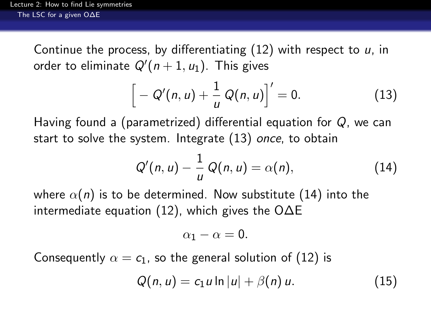Continue the process, by differentiating  $(12)$  with respect to u, in order to eliminate  $Q'(n+1, u_1)$ . This gives

<span id="page-32-1"></span>
$$
\[ -Q'(n,u)+\frac{1}{u}Q(n,u)\]'=0.
$$
 (13)

Having found a (parametrized) differential equation for Q, we can start to solve the system. Integrate [\(13\)](#page-32-1) once, to obtain

$$
Q'(n, u) - \frac{1}{u} Q(n, u) = \alpha(n), \qquad (14)
$$

where  $\alpha(n)$  is to be determined. Now substitute [\(14\)](#page-32-2) into the intermediate equation [\(12\)](#page-31-1), which gives the O∆E

<span id="page-32-3"></span><span id="page-32-2"></span>
$$
\alpha_1-\alpha=0.
$$

<span id="page-32-0"></span>Consequently  $\alpha = c_1$ , so the general solution of [\(12\)](#page-31-1) is

$$
Q(n, u) = c_1 u \ln |u| + \beta(n) u.
$$
 (15)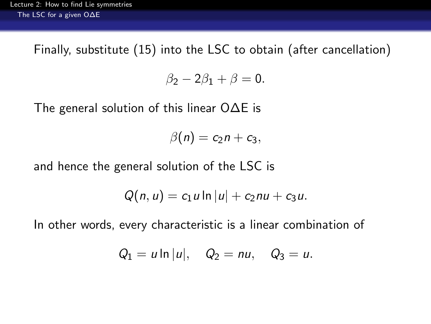Finally, substitute [\(15\)](#page-32-3) into the LSC to obtain (after cancellation)

$$
\beta_2-2\beta_1+\beta=0.
$$

The general solution of this linear O∆E is

$$
\beta(n)=c_2n+c_3,
$$

and hence the general solution of the LSC is

$$
Q(n, u) = c_1 u \ln |u| + c_2 nu + c_3 u.
$$

<span id="page-33-0"></span>In other words, every characteristic is a linear combination of

$$
Q_1 = u \ln |u|
$$
,  $Q_2 = nu$ ,  $Q_3 = u$ .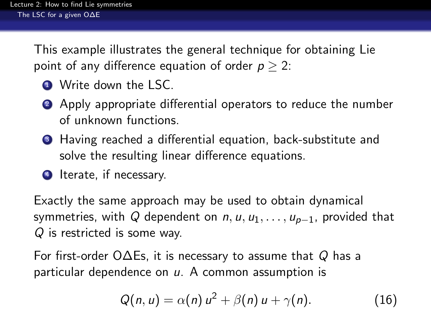This example illustrates the general technique for obtaining Lie point of any difference equation of order  $p > 2$ :

- **4** Write down the LSC.
- 2 Apply appropriate differential operators to reduce the number of unknown functions.
- <sup>3</sup> Having reached a differential equation, back-substitute and solve the resulting linear difference equations.
- **4** Iterate, if necessary.

Exactly the same approach may be used to obtain dynamical symmetries, with Q dependent on  $n, u, u_1, \ldots, u_{p-1}$ , provided that Q is restricted is some way.

<span id="page-34-0"></span>For first-order O $\Delta$ Es, it is necessary to assume that Q has a particular dependence on  $u$ . A common assumption is

<span id="page-34-1"></span>
$$
Q(n, u) = \alpha(n) u^2 + \beta(n) u + \gamma(n). \qquad (16)
$$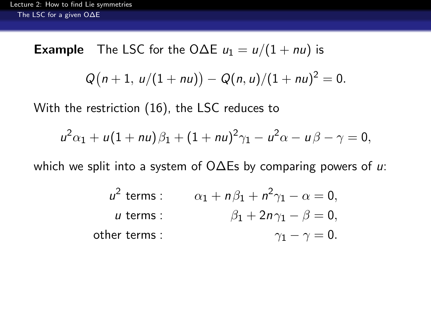## **Example** The LSC for the O $\Delta E$   $u_1 = u/(1 + nu)$  is

$$
Q(n+1, u/(1+nu)) - Q(n, u)/(1+nu)^2 = 0.
$$

With the restriction [\(16\)](#page-34-1), the LSC reduces to

$$
u^{2} \alpha_{1} + u(1 + nu)\beta_{1} + (1 + nu)^{2} \gamma_{1} - u^{2} \alpha - u\beta - \gamma = 0,
$$

<span id="page-35-0"></span>which we split into a system of O∆Es by comparing powers of u:

| $u^2$ terms: | $\alpha_1 + n\beta_1 + n^2\gamma_1 - \alpha = 0$ , |
|--------------|----------------------------------------------------|
| $u$ terms:   | $\beta_1 + 2n\gamma_1 - \beta = 0$ ,               |
| other terms: | $\gamma_1 - \gamma = 0$ .                          |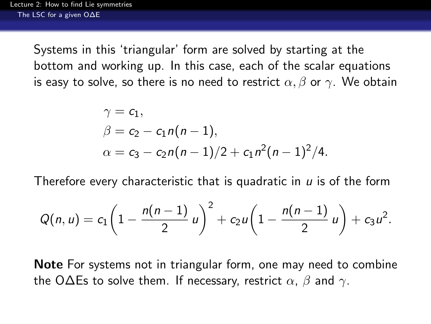Systems in this 'triangular' form are solved by starting at the bottom and working up. In this case, each of the scalar equations is easy to solve, so there is no need to restrict  $\alpha$ ,  $\beta$  or  $\gamma$ . We obtain

$$
\gamma = c_1,
$$
  
\n
$$
\beta = c_2 - c_1 n(n-1),
$$
  
\n
$$
\alpha = c_3 - c_2 n(n-1)/2 + c_1 n^2 (n-1)^2/4.
$$

Therefore every characteristic that is quadratic in  $u$  is of the form

$$
Q(n, u) = c_1 \left(1 - \frac{n(n-1)}{2} u\right)^2 + c_2 u \left(1 - \frac{n(n-1)}{2} u\right) + c_3 u^2.
$$

<span id="page-36-0"></span>Note For systems not in triangular form, one may need to combine the O $\Delta$ Es to solve them. If necessary, restrict  $\alpha$ ,  $\beta$  and  $\gamma$ .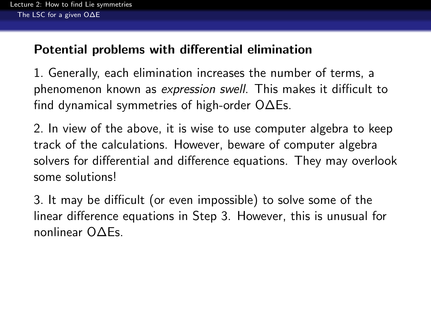#### Potential problems with differential elimination

1. Generally, each elimination increases the number of terms, a phenomenon known as expression swell. This makes it difficult to find dynamical symmetries of high-order O∆Es.

2. In view of the above, it is wise to use computer algebra to keep track of the calculations. However, beware of computer algebra solvers for differential and difference equations. They may overlook some solutions!

<span id="page-37-0"></span>3. It may be difficult (or even impossible) to solve some of the linear difference equations in Step 3. However, this is unusual for nonlinear O∆Es.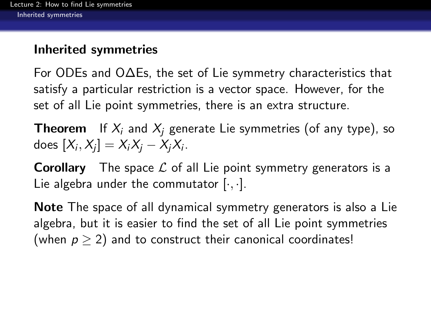## Inherited symmetries

For ODEs and O∆Es, the set of Lie symmetry characteristics that satisfy a particular restriction is a vector space. However, for the set of all Lie point symmetries, there is an extra structure.

**Theorem** If  $X_i$  and  $X_i$  generate Lie symmetries (of any type), so does  $[X_i, X_j] = X_iX_j - X_jX_i$  .

**Corollary** The space  $\mathcal{L}$  of all Lie point symmetry generators is a Lie algebra under the commutator  $[\cdot, \cdot]$ .

<span id="page-38-0"></span>Note The space of all dynamical symmetry generators is also a Lie algebra, but it is easier to find the set of all Lie point symmetries (when  $p > 2$ ) and to construct their canonical coordinates!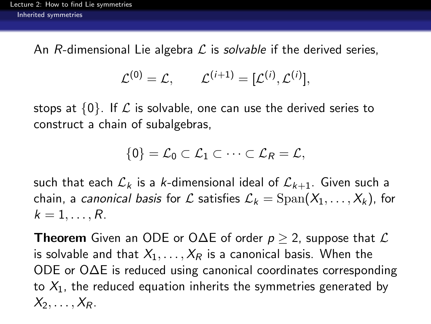An R-dimensional Lie algebra  $\mathcal L$  is solvable if the derived series,

$$
\mathcal{L}^{(0)} = \mathcal{L}, \qquad \mathcal{L}^{(i+1)} = [\mathcal{L}^{(i)}, \mathcal{L}^{(i)}],
$$

stops at  $\{0\}$ . If  $\mathcal L$  is solvable, one can use the derived series to construct a chain of subalgebras,

$$
\{0\}=\mathcal{L}_0\subset \mathcal{L}_1\subset\cdots\subset \mathcal{L}_R=\mathcal{L},
$$

such that each  $\mathcal{L}_k$  is a k-dimensional ideal of  $\mathcal{L}_{k+1}$ . Given such a chain, a canonical basis for L satisfies  $\mathcal{L}_k = \text{Span}(X_1, \ldots, X_k)$ , for  $k=1,\ldots,R$ .

<span id="page-39-0"></span>**Theorem** Given an ODE or O $\Delta$ E of order  $p > 2$ , suppose that  $\mathcal{L}$ is solvable and that  $X_1, \ldots, X_R$  is a canonical basis. When the ODE or O∆E is reduced using canonical coordinates corresponding to  $X_1$ , the reduced equation inherits the symmetries generated by  $X_2, \ldots, X_R$ .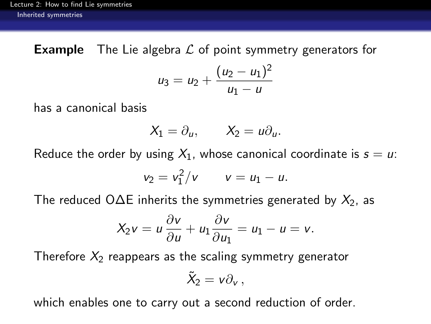**Example** The Lie algebra  $\mathcal L$  of point symmetry generators for

$$
u_3 = u_2 + \frac{(u_2 - u_1)^2}{u_1 - u}
$$

has a canonical basis

$$
X_1=\partial_u,\qquad X_2=u\partial_u.
$$

Reduce the order by using  $X_1$ , whose canonical coordinate is  $s = u$ .

$$
v_2=v_1^2/v \qquad v=u_1-u.
$$

The reduced O $\Delta$ E inherits the symmetries generated by  $X_2$ , as

$$
X_2v = u\frac{\partial v}{\partial u} + u_1\frac{\partial v}{\partial u_1} = u_1 - u = v.
$$

Therefore  $X_2$  reappears as the scaling symmetry generator

$$
\tilde{X}_2 = v \partial_v \,,
$$

<span id="page-40-0"></span>which enables one to carry out a second reduction of order.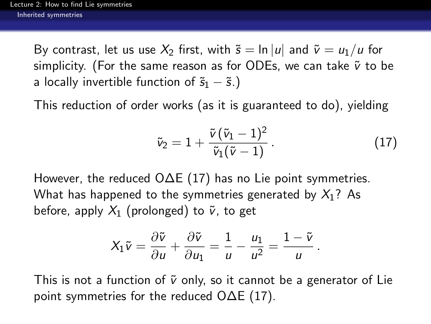By contrast, let us use  $X_2$  first, with  $\tilde{s} = \ln |u|$  and  $\tilde{v} = u_1/u$  for simplicity. (For the same reason as for ODEs, we can take  $\tilde{v}$  to be a locally invertible function of  $\tilde{s}_1 - \tilde{s}$ .)

This reduction of order works (as it is guaranteed to do), yielding

<span id="page-41-1"></span>
$$
\tilde{v}_2 = 1 + \frac{\tilde{v}(\tilde{v}_1 - 1)^2}{\tilde{v}_1(\tilde{v} - 1)}.
$$
\n(17)

However, the reduced O∆E [\(17\)](#page-41-1) has no Lie point symmetries. What has happened to the symmetries generated by  $X_1$ ? As before, apply  $X_1$  (prolonged) to  $\tilde{v}$ , to get

$$
X_1\tilde{v}=\frac{\partial \tilde{v}}{\partial u}+\frac{\partial \tilde{v}}{\partial u_1}=\frac{1}{u}-\frac{u_1}{u^2}=\frac{1-\tilde{v}}{u}.
$$

<span id="page-41-0"></span>This is not a function of  $\tilde{v}$  only, so it cannot be a generator of Lie point symmetries for the reduced O∆E [\(17\)](#page-41-1).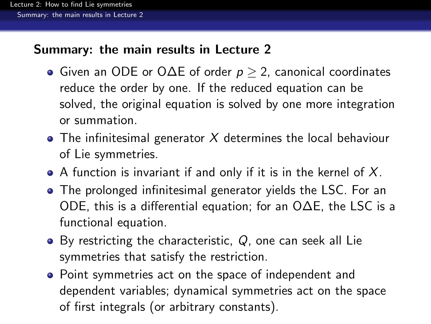## Summary: the main results in Lecture 2

- $\bullet$  Given an ODE or O $\Delta$ E of order  $p \geq 2$ , canonical coordinates reduce the order by one. If the reduced equation can be solved, the original equation is solved by one more integration or summation.
- $\bullet$  The infinitesimal generator X determines the local behaviour of Lie symmetries.
- $\bullet$  A function is invariant if and only if it is in the kernel of X.
- The prolonged infinitesimal generator yields the LSC. For an ODE, this is a differential equation; for an O∆E, the LSC is a functional equation.
- $\bullet$  By restricting the characteristic, Q, one can seek all Lie symmetries that satisfy the restriction.
- <span id="page-42-0"></span>Point symmetries act on the space of independent and dependent variables; dynamical symmetries act on the space of first integrals (or arbitrary constants).